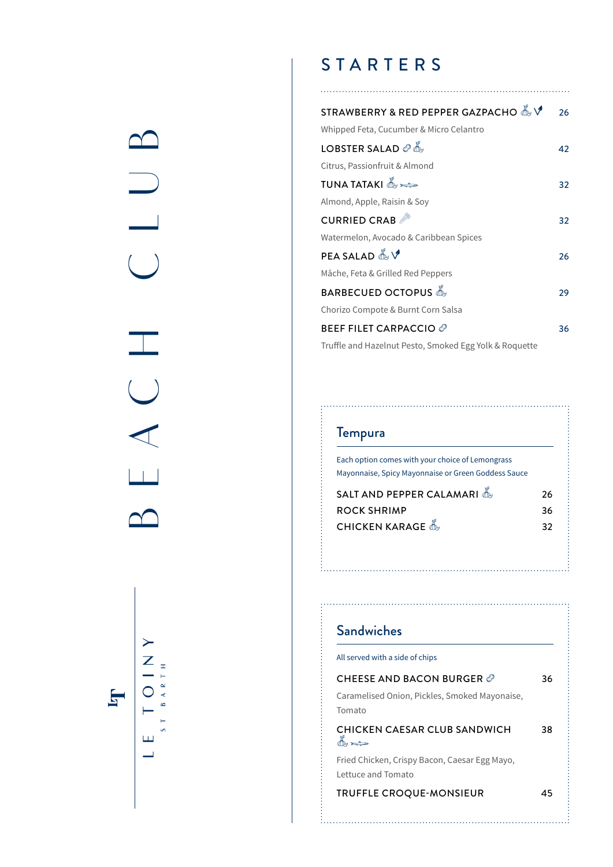**BEACH CLUB**  $\bigcup$ H<br>O

 $\mathbf{F}$ 

# STARTERS

| .                                                      |    |
|--------------------------------------------------------|----|
| STRAWBERRY & RED PEPPER GAZPACHO & V                   | 26 |
| Whipped Feta, Cucumber & Micro Celantro                |    |
| LOBSTER SALAD $\mathscr{O} \overset{K}{\mathbb{A}}$    | 42 |
| Citrus, Passionfruit & Almond                          |    |
| <b>TUNA TATAKI</b> &                                   | 32 |
| Almond, Apple, Raisin & Soy                            |    |
| <b>CURRIED CRAB</b>                                    | 32 |
| Watermelon, Avocado & Caribbean Spices                 |    |
| <b>PEA SALAD &amp; V</b>                               | 26 |
| Mâche, Feta & Grilled Red Peppers                      |    |
| <b>BARBECUED OCTOPUS</b>                               | 29 |
| Chorizo Compote & Burnt Corn Salsa                     |    |
| <b>BEEF FILET CARPACCIO @</b>                          | 36 |
| Truffle and Hazelnut Pesto, Smoked Egg Yolk & Roquette |    |

## Tempura

Each option comes with your choice of Lemongrass Mayonnaise, Spicy Mayonnaise or Green Goddess Sauce

| SALT AND PEPPER CALAMARI | 26 |
|--------------------------|----|
| ROCK SHRIMP              | 36 |
| <b>CHICKEN KARAGE</b>    | 32 |

# **Sandwiches**

| All served with a side of chips                                     |    |
|---------------------------------------------------------------------|----|
| CHEESE AND BACON BURGER $\mathscr O$                                | 36 |
| Caramelised Onion, Pickles, Smoked Mayonaise,<br>Tomato             |    |
| CHICKEN CAESAR CLUB SANDWICH<br>$\mathbb{A}$                        | 38 |
| Fried Chicken, Crispy Bacon, Caesar Egg Mayo,<br>Lettuce and Tomato |    |
| <b>TRUFFLE CROQUE-MONSIEUR</b>                                      | 45 |